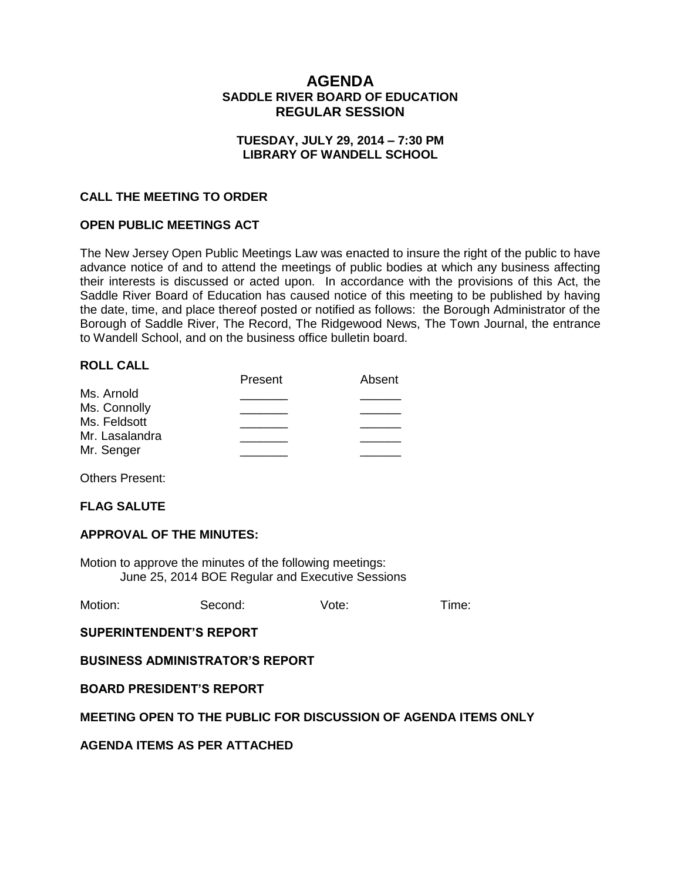# **AGENDA SADDLE RIVER BOARD OF EDUCATION REGULAR SESSION**

## **TUESDAY, JULY 29, 2014 – 7:30 PM LIBRARY OF WANDELL SCHOOL**

## **CALL THE MEETING TO ORDER**

### **OPEN PUBLIC MEETINGS ACT**

The New Jersey Open Public Meetings Law was enacted to insure the right of the public to have advance notice of and to attend the meetings of public bodies at which any business affecting their interests is discussed or acted upon. In accordance with the provisions of this Act, the Saddle River Board of Education has caused notice of this meeting to be published by having the date, time, and place thereof posted or notified as follows: the Borough Administrator of the Borough of Saddle River, The Record, The Ridgewood News, The Town Journal, the entrance to Wandell School, and on the business office bulletin board.

### **ROLL CALL**

|                | Present | Absent |
|----------------|---------|--------|
| Ms. Arnold     |         |        |
| Ms. Connolly   |         |        |
| Ms. Feldsott   |         |        |
| Mr. Lasalandra |         |        |
| Mr. Senger     |         |        |
|                |         |        |

Others Present:

### **FLAG SALUTE**

### **APPROVAL OF THE MINUTES:**

Motion to approve the minutes of the following meetings: June 25, 2014 BOE Regular and Executive Sessions

| Motion: | Second: | Vote: | Time: |
|---------|---------|-------|-------|
|         |         |       |       |

**SUPERINTENDENT'S REPORT**

**BUSINESS ADMINISTRATOR'S REPORT**

**BOARD PRESIDENT'S REPORT**

### **MEETING OPEN TO THE PUBLIC FOR DISCUSSION OF AGENDA ITEMS ONLY**

**AGENDA ITEMS AS PER ATTACHED**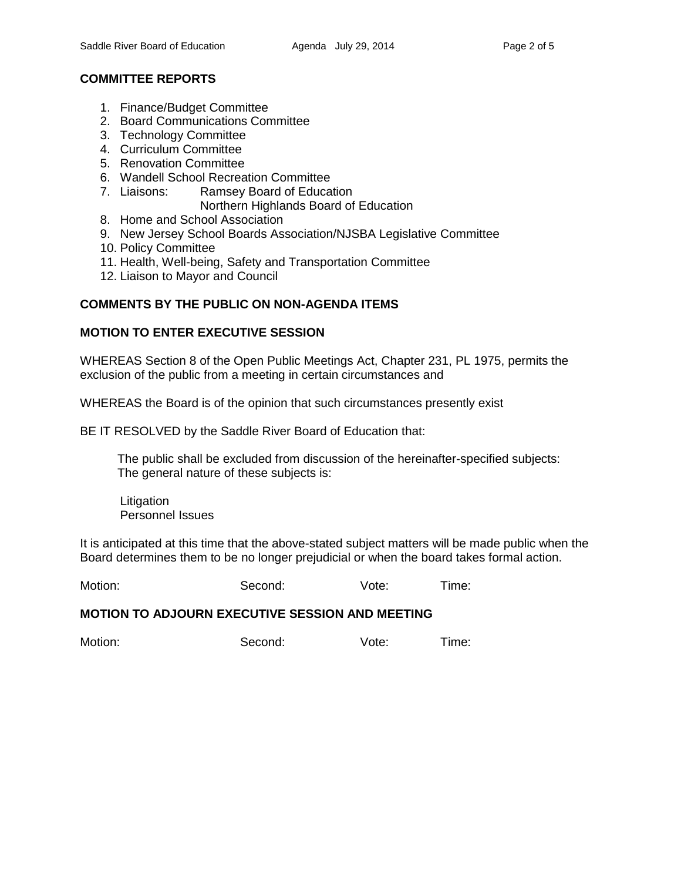# **COMMITTEE REPORTS**

- 1. Finance/Budget Committee
- 2. Board Communications Committee
- 3. Technology Committee
- 4. Curriculum Committee
- 5. Renovation Committee
- 6. Wandell School Recreation Committee
- 7. Liaisons: Ramsey Board of Education
	- Northern Highlands Board of Education
- 8. Home and School Association
- 9. New Jersey School Boards Association/NJSBA Legislative Committee
- 10. Policy Committee
- 11. Health, Well-being, Safety and Transportation Committee
- 12. Liaison to Mayor and Council

# **COMMENTS BY THE PUBLIC ON NON-AGENDA ITEMS**

## **MOTION TO ENTER EXECUTIVE SESSION**

WHEREAS Section 8 of the Open Public Meetings Act, Chapter 231, PL 1975, permits the exclusion of the public from a meeting in certain circumstances and

WHEREAS the Board is of the opinion that such circumstances presently exist

BE IT RESOLVED by the Saddle River Board of Education that:

 The public shall be excluded from discussion of the hereinafter-specified subjects: The general nature of these subjects is:

**Litigation** Personnel Issues

It is anticipated at this time that the above-stated subject matters will be made public when the Board determines them to be no longer prejudicial or when the board takes formal action.

Motion: Second: Vote: Time:

### **MOTION TO ADJOURN EXECUTIVE SESSION AND MEETING**

Motion: Second: Vote: Time: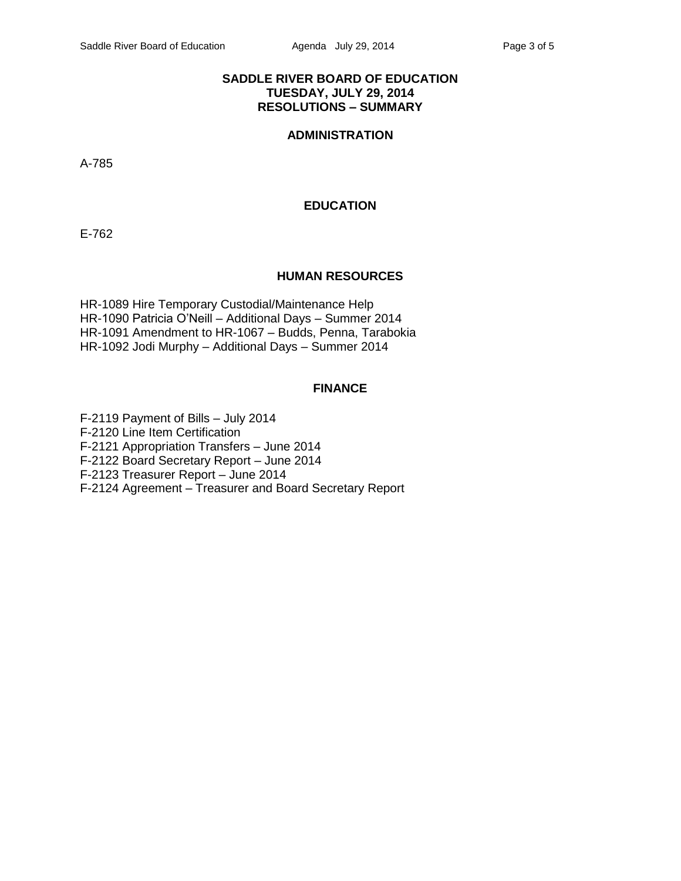## **SADDLE RIVER BOARD OF EDUCATION TUESDAY, JULY 29, 2014 RESOLUTIONS – SUMMARY**

# **ADMINISTRATION**

A-785

## **EDUCATION**

E-762

## **HUMAN RESOURCES**

HR-1089 Hire Temporary Custodial/Maintenance Help HR-1090 Patricia O'Neill – Additional Days – Summer 2014 HR-1091 Amendment to HR-1067 – Budds, Penna, Tarabokia HR-1092 Jodi Murphy – Additional Days – Summer 2014

## **FINANCE**

F-2119 Payment of Bills – July 2014 F-2120 Line Item Certification F-2121 Appropriation Transfers – June 2014 F-2122 Board Secretary Report – June 2014 F-2123 Treasurer Report – June 2014 F-2124 Agreement – Treasurer and Board Secretary Report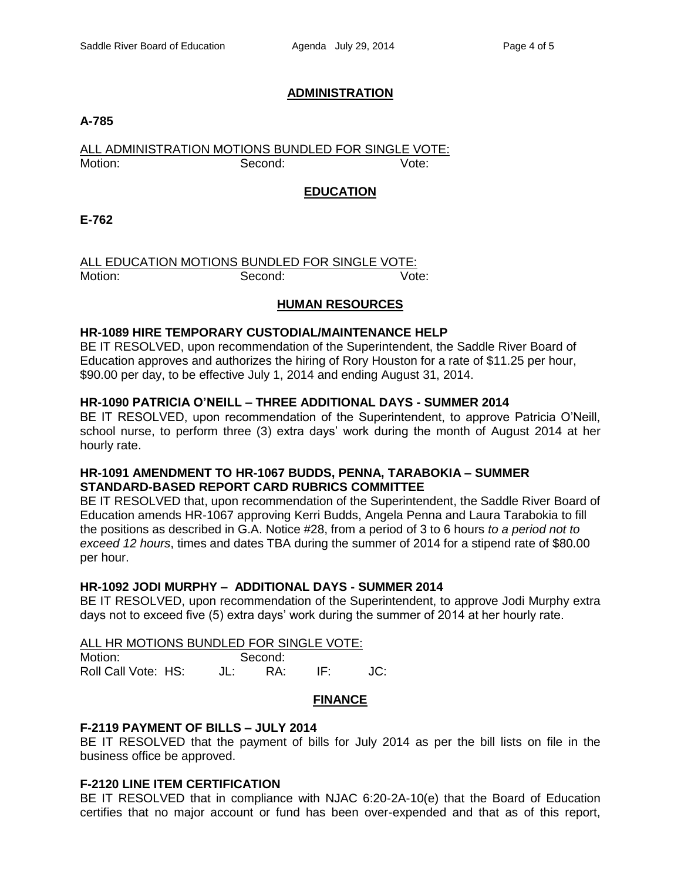## **ADMINISTRATION**

### **A-785**

# ALL ADMINISTRATION MOTIONS BUNDLED FOR SINGLE VOTE: Motion: Second: Second: Vote:

# **EDUCATION**

**E-762**

# ALL EDUCATION MOTIONS BUNDLED FOR SINGLE VOTE: Motion: Second: Second: Vote:

## **HUMAN RESOURCES**

### **HR-1089 HIRE TEMPORARY CUSTODIAL/MAINTENANCE HELP**

BE IT RESOLVED, upon recommendation of the Superintendent, the Saddle River Board of Education approves and authorizes the hiring of Rory Houston for a rate of \$11.25 per hour, \$90.00 per day, to be effective July 1, 2014 and ending August 31, 2014.

## **HR-1090 PATRICIA O'NEILL – THREE ADDITIONAL DAYS - SUMMER 2014**

BE IT RESOLVED, upon recommendation of the Superintendent, to approve Patricia O'Neill, school nurse, to perform three (3) extra days' work during the month of August 2014 at her hourly rate.

## **HR-1091 AMENDMENT TO HR-1067 BUDDS, PENNA, TARABOKIA – SUMMER STANDARD-BASED REPORT CARD RUBRICS COMMITTEE**

BE IT RESOLVED that, upon recommendation of the Superintendent, the Saddle River Board of Education amends HR-1067 approving Kerri Budds, Angela Penna and Laura Tarabokia to fill the positions as described in G.A. Notice #28, from a period of 3 to 6 hours *to a period not to exceed 12 hours*, times and dates TBA during the summer of 2014 for a stipend rate of \$80.00 per hour.

# **HR-1092 JODI MURPHY – ADDITIONAL DAYS - SUMMER 2014**

BE IT RESOLVED, upon recommendation of the Superintendent, to approve Jodi Murphy extra days not to exceed five (5) extra days' work during the summer of 2014 at her hourly rate.

ALL HR MOTIONS BUNDLED FOR SINGLE VOTE:

Motion: Second: Roll Call Vote: HS: JL: RA: IF: JC:

### **FINANCE**

# **F-2119 PAYMENT OF BILLS – JULY 2014**

BE IT RESOLVED that the payment of bills for July 2014 as per the bill lists on file in the business office be approved.

# **F-2120 LINE ITEM CERTIFICATION**

BE IT RESOLVED that in compliance with NJAC 6:20-2A-10(e) that the Board of Education certifies that no major account or fund has been over-expended and that as of this report,